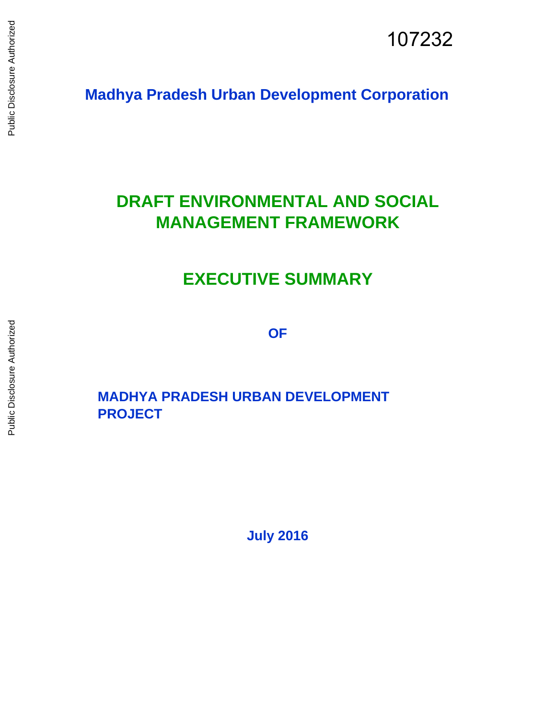**Madhya Pradesh Urban Development Corporation** 

# **DRAFT ENVIRONMENTAL AND SOCIAL MANAGEMENT FRAMEWORK**

# **EXECUTIVE SUMMARY**

**OF** 

# **MADHYA PRADESH URBAN DEVELOPMENT PROJECT**

**July 2016**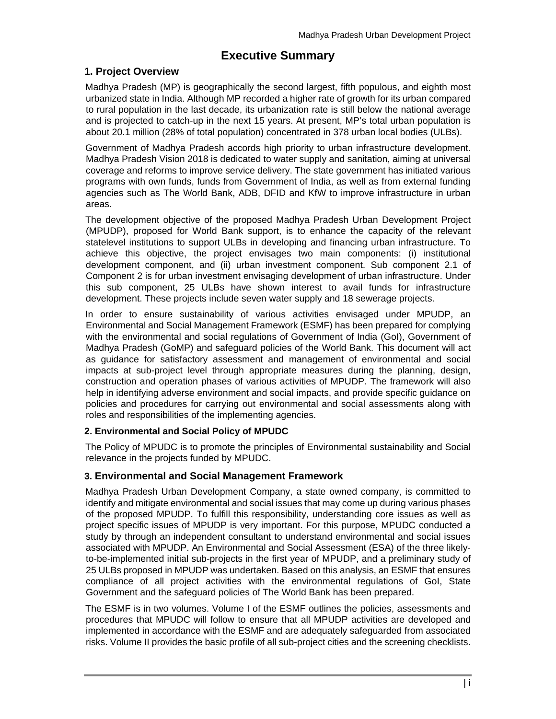# **Executive Summary**

# **1. Project Overview**

Madhya Pradesh (MP) is geographically the second largest, fifth populous, and eighth most urbanized state in India. Although MP recorded a higher rate of growth for its urban compared to rural population in the last decade, its urbanization rate is still below the national average and is projected to catch-up in the next 15 years. At present, MP's total urban population is about 20.1 million (28% of total population) concentrated in 378 urban local bodies (ULBs).

Government of Madhya Pradesh accords high priority to urban infrastructure development. Madhya Pradesh Vision 2018 is dedicated to water supply and sanitation, aiming at universal coverage and reforms to improve service delivery. The state government has initiated various programs with own funds, funds from Government of India, as well as from external funding agencies such as The World Bank, ADB, DFID and KfW to improve infrastructure in urban areas.

The development objective of the proposed Madhya Pradesh Urban Development Project (MPUDP), proposed for World Bank support, is to enhance the capacity of the relevant statelevel institutions to support ULBs in developing and financing urban infrastructure. To achieve this objective, the project envisages two main components: (i) institutional development component, and (ii) urban investment component. Sub component 2.1 of Component 2 is for urban investment envisaging development of urban infrastructure. Under this sub component, 25 ULBs have shown interest to avail funds for infrastructure development. These projects include seven water supply and 18 sewerage projects.

In order to ensure sustainability of various activities envisaged under MPUDP, an Environmental and Social Management Framework (ESMF) has been prepared for complying with the environmental and social regulations of Government of India (GoI), Government of Madhya Pradesh (GoMP) and safeguard policies of the World Bank. This document will act as guidance for satisfactory assessment and management of environmental and social impacts at sub-project level through appropriate measures during the planning, design, construction and operation phases of various activities of MPUDP. The framework will also help in identifying adverse environment and social impacts, and provide specific guidance on policies and procedures for carrying out environmental and social assessments along with roles and responsibilities of the implementing agencies.

## **2. Environmental and Social Policy of MPUDC**

The Policy of MPUDC is to promote the principles of Environmental sustainability and Social relevance in the projects funded by MPUDC.

# **3. Environmental and Social Management Framework**

Madhya Pradesh Urban Development Company, a state owned company, is committed to identify and mitigate environmental and social issues that may come up during various phases of the proposed MPUDP. To fulfill this responsibility, understanding core issues as well as project specific issues of MPUDP is very important. For this purpose, MPUDC conducted a study by through an independent consultant to understand environmental and social issues associated with MPUDP. An Environmental and Social Assessment (ESA) of the three likelyto-be-implemented initial sub-projects in the first year of MPUDP, and a preliminary study of 25 ULBs proposed in MPUDP was undertaken. Based on this analysis, an ESMF that ensures compliance of all project activities with the environmental regulations of GoI, State Government and the safeguard policies of The World Bank has been prepared.

The ESMF is in two volumes. Volume I of the ESMF outlines the policies, assessments and procedures that MPUDC will follow to ensure that all MPUDP activities are developed and implemented in accordance with the ESMF and are adequately safeguarded from associated risks. Volume II provides the basic profile of all sub-project cities and the screening checklists.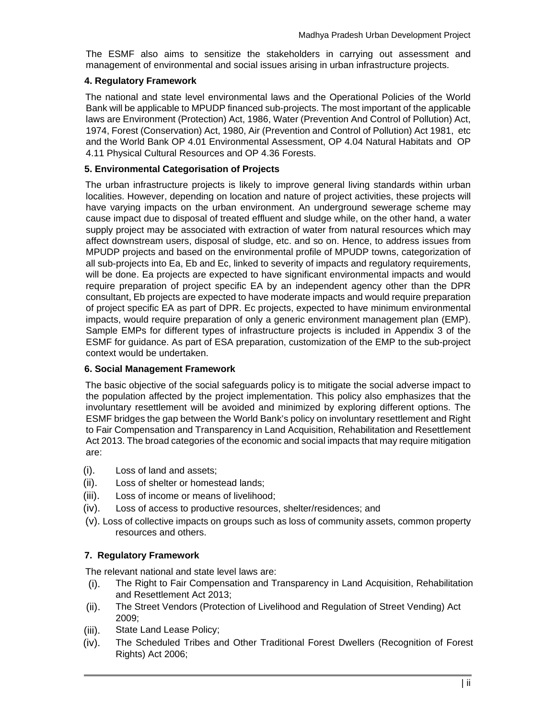The ESMF also aims to sensitize the stakeholders in carrying out assessment and management of environmental and social issues arising in urban infrastructure projects.

#### **4. Regulatory Framework**

The national and state level environmental laws and the Operational Policies of the World Bank will be applicable to MPUDP financed sub-projects. The most important of the applicable laws are Environment (Protection) Act, 1986, Water (Prevention And Control of Pollution) Act, 1974, Forest (Conservation) Act, 1980, Air (Prevention and Control of Pollution) Act 1981, etc and the World Bank OP 4.01 Environmental Assessment, OP 4.04 Natural Habitats and OP 4.11 Physical Cultural Resources and OP 4.36 Forests.

#### **5. Environmental Categorisation of Projects**

The urban infrastructure projects is likely to improve general living standards within urban localities. However, depending on location and nature of project activities, these projects will have varying impacts on the urban environment. An underground sewerage scheme may cause impact due to disposal of treated effluent and sludge while, on the other hand, a water supply project may be associated with extraction of water from natural resources which may affect downstream users, disposal of sludge, etc. and so on. Hence, to address issues from MPUDP projects and based on the environmental profile of MPUDP towns, categorization of all sub-projects into Ea, Eb and Ec, linked to severity of impacts and regulatory requirements, will be done. Ea projects are expected to have significant environmental impacts and would require preparation of project specific EA by an independent agency other than the DPR consultant, Eb projects are expected to have moderate impacts and would require preparation of project specific EA as part of DPR. Ec projects, expected to have minimum environmental impacts, would require preparation of only a generic environment management plan (EMP). Sample EMPs for different types of infrastructure projects is included in Appendix 3 of the ESMF for guidance. As part of ESA preparation, customization of the EMP to the sub-project context would be undertaken.

## **6. Social Management Framework**

The basic objective of the social safeguards policy is to mitigate the social adverse impact to the population affected by the project implementation. This policy also emphasizes that the involuntary resettlement will be avoided and minimized by exploring different options. The ESMF bridges the gap between the World Bank's policy on involuntary resettlement and Right to Fair Compensation and Transparency in Land Acquisition, Rehabilitation and Resettlement Act 2013. The broad categories of the economic and social impacts that may require mitigation are:

- (i). Loss of land and assets;
- (ii). Loss of shelter or homestead lands;
- (iii). Loss of income or means of livelihood;
- (iv). Loss of access to productive resources, shelter/residences; and
- (v). Loss of collective impacts on groups such as loss of community assets, common property resources and others.

## **7. Regulatory Framework**

The relevant national and state level laws are:

- (i). The Right to Fair Compensation and Transparency in Land Acquisition, Rehabilitation and Resettlement Act 2013;
- (ii). The Street Vendors (Protection of Livelihood and Regulation of Street Vending) Act 2009;
- (iii). State Land Lease Policy;
- (iv). The Scheduled Tribes and Other Traditional Forest Dwellers (Recognition of Forest Rights) Act 2006;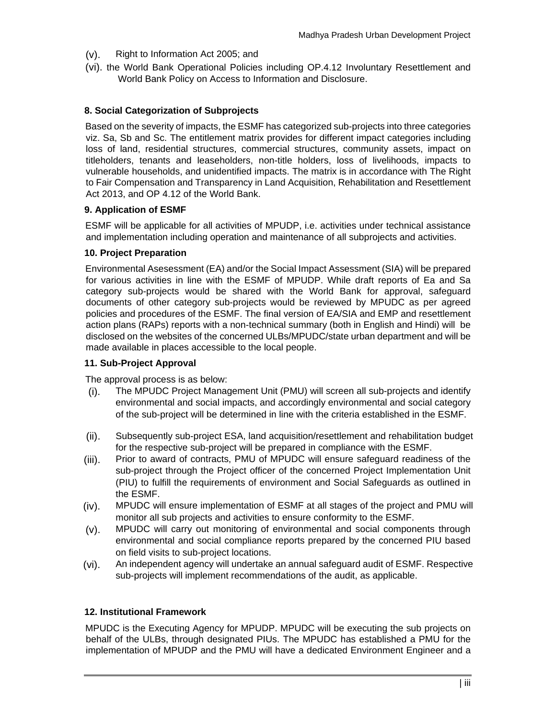- (v). Right to Information Act 2005; and
- (vi). the World Bank Operational Policies including OP.4.12 Involuntary Resettlement and World Bank Policy on Access to Information and Disclosure.

### **8. Social Categorization of Subprojects**

Based on the severity of impacts, the ESMF has categorized sub-projects into three categories viz. Sa, Sb and Sc. The entitlement matrix provides for different impact categories including loss of land, residential structures, commercial structures, community assets, impact on titleholders, tenants and leaseholders, non-title holders, loss of livelihoods, impacts to vulnerable households, and unidentified impacts. The matrix is in accordance with The Right to Fair Compensation and Transparency in Land Acquisition, Rehabilitation and Resettlement Act 2013, and OP 4.12 of the World Bank.

#### **9. Application of ESMF**

ESMF will be applicable for all activities of MPUDP, i.e. activities under technical assistance and implementation including operation and maintenance of all subprojects and activities.

#### **10. Project Preparation**

Environmental Asesessment (EA) and/or the Social Impact Assessment (SIA) will be prepared for various activities in line with the ESMF of MPUDP. While draft reports of Ea and Sa category sub-projects would be shared with the World Bank for approval, safeguard documents of other category sub-projects would be reviewed by MPUDC as per agreed policies and procedures of the ESMF. The final version of EA/SIA and EMP and resettlement action plans (RAPs) reports with a non-technical summary (both in English and Hindi) will be disclosed on the websites of the concerned ULBs/MPUDC/state urban department and will be made available in places accessible to the local people.

#### **11. Sub-Project Approval**

The approval process is as below:

- (i). The MPUDC Project Management Unit (PMU) will screen all sub-projects and identify environmental and social impacts, and accordingly environmental and social category of the sub-project will be determined in line with the criteria established in the ESMF.
- (ii). Subsequently sub-project ESA, land acquisition/resettlement and rehabilitation budget for the respective sub-project will be prepared in compliance with the ESMF.
- (iii). Prior to award of contracts, PMU of MPUDC will ensure safeguard readiness of the sub-project through the Project officer of the concerned Project Implementation Unit (PIU) to fulfill the requirements of environment and Social Safeguards as outlined in the ESMF.
- (iv). MPUDC will ensure implementation of ESMF at all stages of the project and PMU will monitor all sub projects and activities to ensure conformity to the ESMF.
- (v). MPUDC will carry out monitoring of environmental and social components through environmental and social compliance reports prepared by the concerned PIU based on field visits to sub-project locations.
- (vi). An independent agency will undertake an annual safeguard audit of ESMF. Respective sub-projects will implement recommendations of the audit, as applicable.

#### **12. Institutional Framework**

MPUDC is the Executing Agency for MPUDP. MPUDC will be executing the sub projects on behalf of the ULBs, through designated PIUs. The MPUDC has established a PMU for the implementation of MPUDP and the PMU will have a dedicated Environment Engineer and a